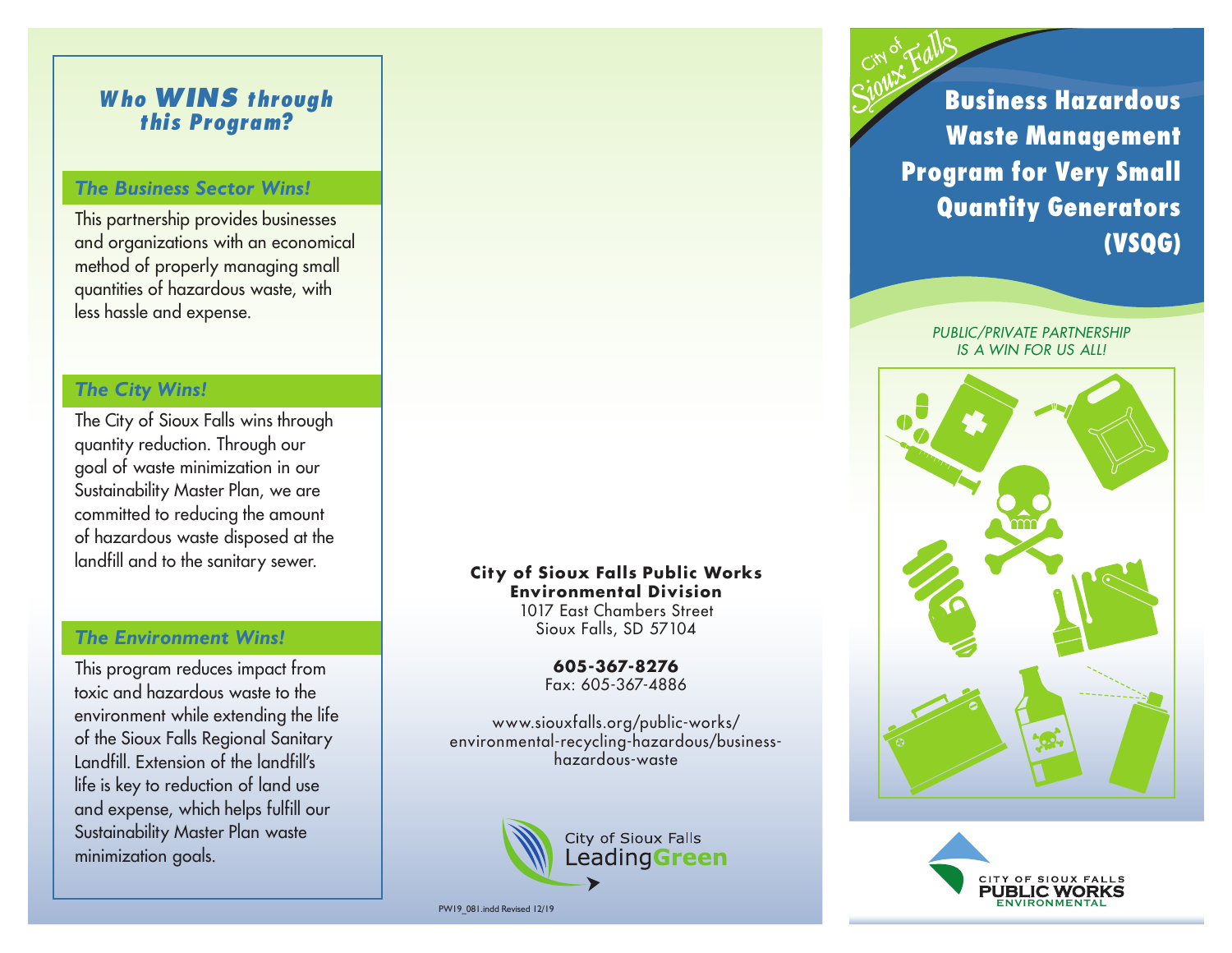# *Who WINS through this Program?*

#### *The Business Sector Wins!*

This partnership provides businesses and organizations with an economical method of properly managing small quantities of hazardous waste, with less hassle and expense.

## *The City Wins!*

The City of Sioux Falls wins through quantity reduction. Through our goal of waste minimization in our Sustainability Master Plan, we are committed to reducing the amount of hazardous waste disposed at the landfill and to the sanitary sewer.

## *The Environment Wins!*

This program reduces impact from toxic and hazardous waste to the environment while extending the life of the Sioux Falls Regional Sanitary Landfill. Extension of the landfill's life is key to reduction of land use and expense, which helps fulfill our Sustainability Master Plan waste minimization goals.

**City of Sioux Falls Public Works Environmental Division** 1017 East Chambers Street Sioux Falls, SD 57104

> **605-367-8276** Fax: 605-367-4886

www.siouxfalls.org/public-works/ environmental-recycling-hazardous/businesshazardous-waste



PW19\_081.indd Revised 12/19

**Business Hazardous Waste Management Program for Very Small Quantity Generators (VSQG)**

> *PUBLIC/PRIVATE PARTNERSHIP IS A WIN FOR US ALL!*